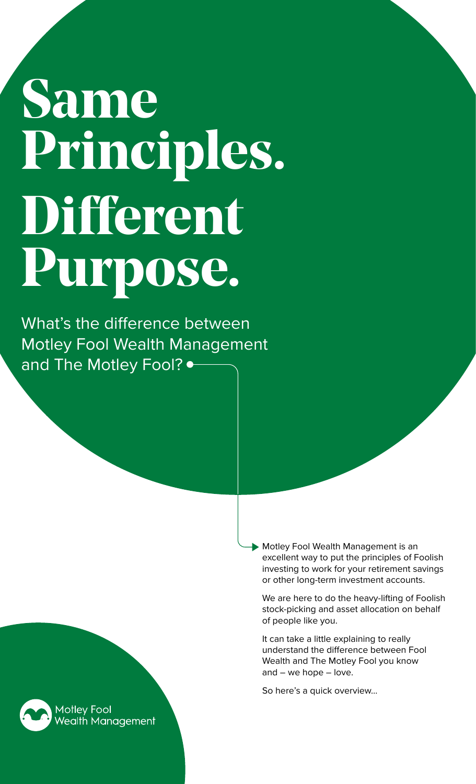# **Same Principles. Different Purpose.**

What's the difference between Motley Fool Wealth Management and The Motley Fool?  $\bullet$ 

> **Motley Fool Wealth Management is an** excellent way to put the principles of Foolish investing to work for your retirement savings or other long-term investment accounts.

We are here to do the heavy-lifting of Foolish stock-picking and asset allocation on behalf of people like you.

It can take a little explaining to really understand the difference between Fool Wealth and The Motley Fool you know and – we hope – love.

So here's a quick overview…

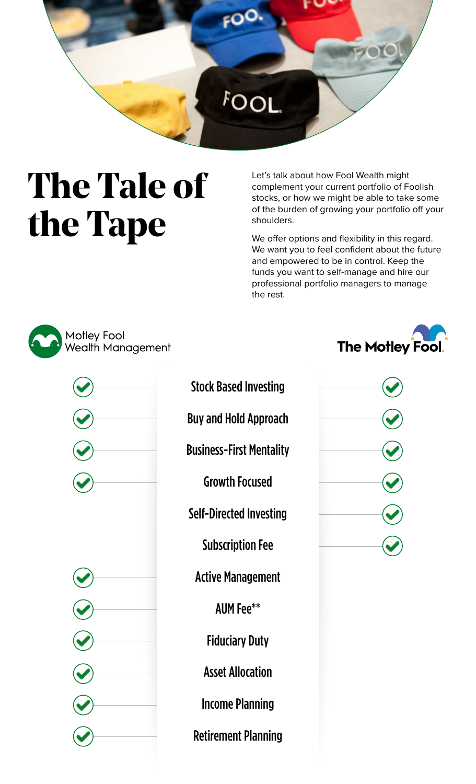

### **The Tale of the Tape**

Let's talk about how Fool Wealth might complement your current portfolio of Foolish stocks, or how we might be able to take some of the burden of growing your portfolio off your shoulders.

We offer options and flexibility in this regard. We want you to feel confident about the future and empowered to be in control. Keep the funds you want to self-manage and hire our professional portfolio managers to manage the rest.





Stock Based Investing

Buy and Hold Approach

Business-First Mentality

Growth Focused

Self-Directed Investing

Subscription Fee

Active Management

AUM Fee\*\*

Fiduciary Duty

Asset Allocation

Income Planning

Retirement Planning





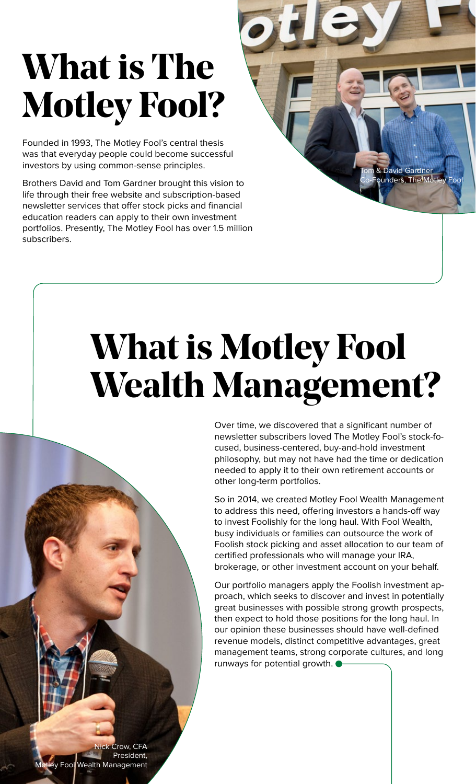### **What is The Motley Fool?**

Founded in 1993, The Motley Fool's central thesis was that everyday people could become successful investors by using common-sense principles.

Brothers David and Tom Gardner brought this vision to life through their free website and subscription-based newsletter services that offer stock picks and financial education readers can apply to their own investment portfolios. Presently, The Motley Fool has over 1.5 million subscribers.

### **What is Motley Fool Wealth Management?**

Over time, we discovered that a significant number of newsletter subscribers loved The Motley Fool's stock-focused, business-centered, buy-and-hold investment philosophy, but may not have had the time or dedication needed to apply it to their own retirement accounts or other long-term portfolios.

David Gardner unders, The Motl

So in 2014, we created Motley Fool Wealth Management to address this need, offering investors a hands-off way to invest Foolishly for the long haul. With Fool Wealth, busy individuals or families can outsource the work of Foolish stock picking and asset allocation to our team of certified professionals who will manage your IRA, brokerage, or other investment account on your behalf.

Our portfolio managers apply the Foolish investment approach, which seeks to discover and invest in potentially great businesses with possible strong growth prospects, then expect to hold those positions for the long haul. In our opinion these businesses should have well-defined revenue models, distinct competitive advantages, great management teams, strong corporate cultures, and long runways for potential growth.

Crow, CFA President, **Fool Wealth Management**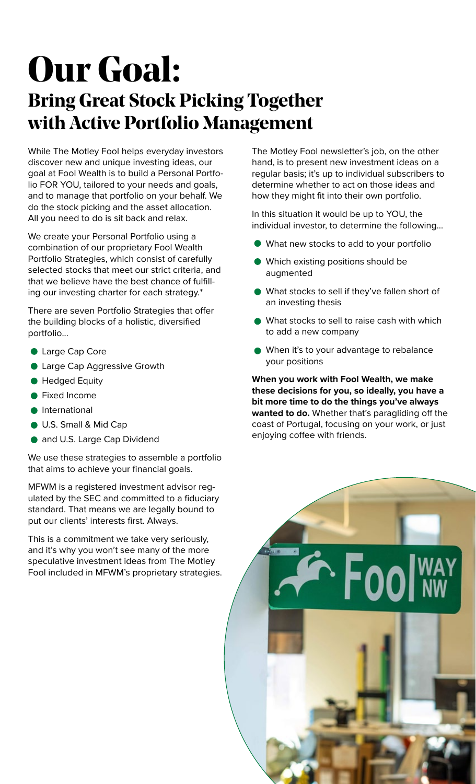### **Our Goal: Bring Great Stock Picking Together with Active Portfolio Management**

While The Motley Fool helps everyday investors discover new and unique investing ideas, our goal at Fool Wealth is to build a Personal Portfolio FOR YOU, tailored to your needs and goals, and to manage that portfolio on your behalf. We do the stock picking and the asset allocation. All you need to do is sit back and relax.

We create your Personal Portfolio using a combination of our proprietary Fool Wealth Portfolio Strategies, which consist of carefully selected stocks that meet our strict criteria, and that we believe have the best chance of fulfilling our investing charter for each strategy.\*

There are seven Portfolio Strategies that offer the building blocks of a holistic, diversified portfolio...

- **Large Cap Core**
- **Large Cap Aggressive Growth**
- **Hedged Equity**
- **•** Fixed Income
- **•** International
- **U.S. Small & Mid Cap**
- **and U.S. Large Cap Dividend**

We use these strategies to assemble a portfolio that aims to achieve your financial goals.

MFWM is a registered investment advisor regulated by the SEC and committed to a fiduciary standard. That means we are legally bound to put our clients' interests first. Always.

This is a commitment we take very seriously, and it's why you won't see many of the more speculative investment ideas from The Motley Fool included in MFWM's proprietary strategies. The Motley Fool newsletter's job, on the other hand, is to present new investment ideas on a regular basis; it's up to individual subscribers to determine whether to act on those ideas and how they might fit into their own portfolio.

In this situation it would be up to YOU, the individual investor, to determine the following…

- What new stocks to add to your portfolio
- Which existing positions should be augmented
- What stocks to sell if they've fallen short of an investing thesis
- What stocks to sell to raise cash with which to add a new company
- When it's to your advantage to rebalance your positions

**When you work with Fool Wealth, we make these decisions for you, so ideally, you have a bit more time to do the things you've always wanted to do.** Whether that's paragliding off the coast of Portugal, focusing on your work, or just enjoying coffee with friends.

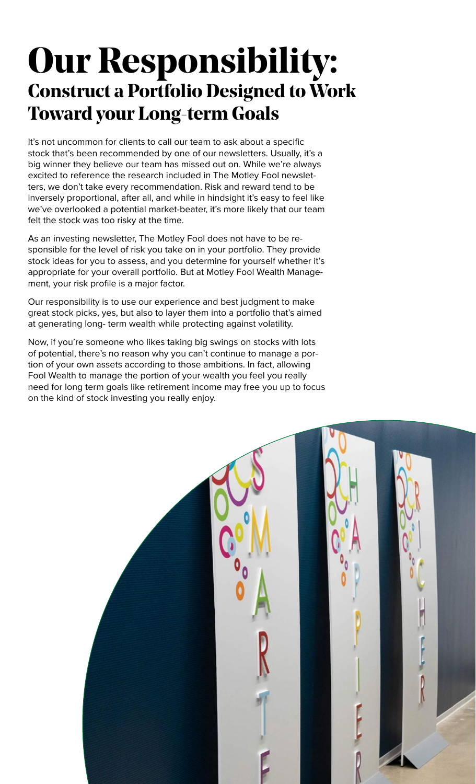#### **Our Responsibility: Construct a Portfolio Designed to Work Toward your Long-term Goals**

It's not uncommon for clients to call our team to ask about a specific stock that's been recommended by one of our newsletters. Usually, it's a big winner they believe our team has missed out on. While we're always excited to reference the research included in The Motley Fool newsletters, we don't take every recommendation. Risk and reward tend to be inversely proportional, after all, and while in hindsight it's easy to feel like we've overlooked a potential market-beater, it's more likely that our team felt the stock was too risky at the time.

As an investing newsletter, The Motley Fool does not have to be responsible for the level of risk you take on in your portfolio. They provide stock ideas for you to assess, and you determine for yourself whether it's appropriate for your overall portfolio. But at Motley Fool Wealth Management, your risk profile is a major factor.

Our responsibility is to use our experience and best judgment to make great stock picks, yes, but also to layer them into a portfolio that's aimed at generating long- term wealth while protecting against volatility.

Now, if you're someone who likes taking big swings on stocks with lots of potential, there's no reason why you can't continue to manage a portion of your own assets according to those ambitions. In fact, allowing Fool Wealth to manage the portion of your wealth you feel you really need for long term goals like retirement income may free you up to focus on the kind of stock investing you really enjoy.

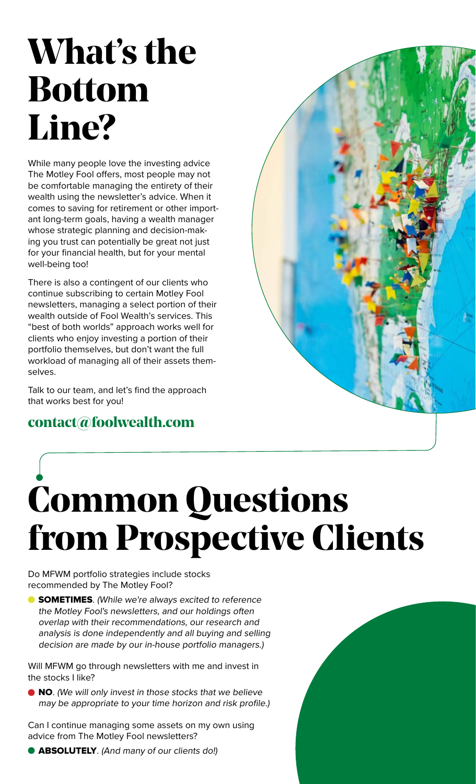### **What's the Bottom Line?**

While many people love the investing advice The Motley Fool offers, most people may not be comfortable managing the entirety of their wealth using the newsletter's advice. When it comes to saving for retirement or other important long-term goals, having a wealth manager whose strategic planning and decision-making you trust can potentially be great not just for your financial health, but for your mental well-being too!

There is also a contingent of our clients who continue subscribing to certain Motley Fool newsletters, managing a select portion of their wealth outside of Fool Wealth's services. This "best of both worlds" approach works well for clients who enjoy investing a portion of their portfolio themselves, but don't want the full workload of managing all of their assets themselves.

Talk to our team, and let's find the approach that works best for you!

#### **[contact@foolwealth.com](mailto:contact%40foolwealth.com?subject=)**



## **Common Questions from Prospective Clients**

Do MFWM portfolio strategies include stocks recommended by The Motley Fool?

**SOMETIMES**. (While we're always excited to reference the Motley Fool's newsletters, and our holdings often overlap with their recommendations, our research and analysis is done independently and all buying and selling decision are made by our in-house portfolio managers.)

Will MFWM go through newsletters with me and invest in the stocks I like?

● NO. (We will only invest in those stocks that we believe may be appropriate to your time horizon and risk profile.)

Can I continue managing some assets on my own using advice from The Motley Fool newsletters?

**ABSOLUTELY**. (And many of our clients do!)